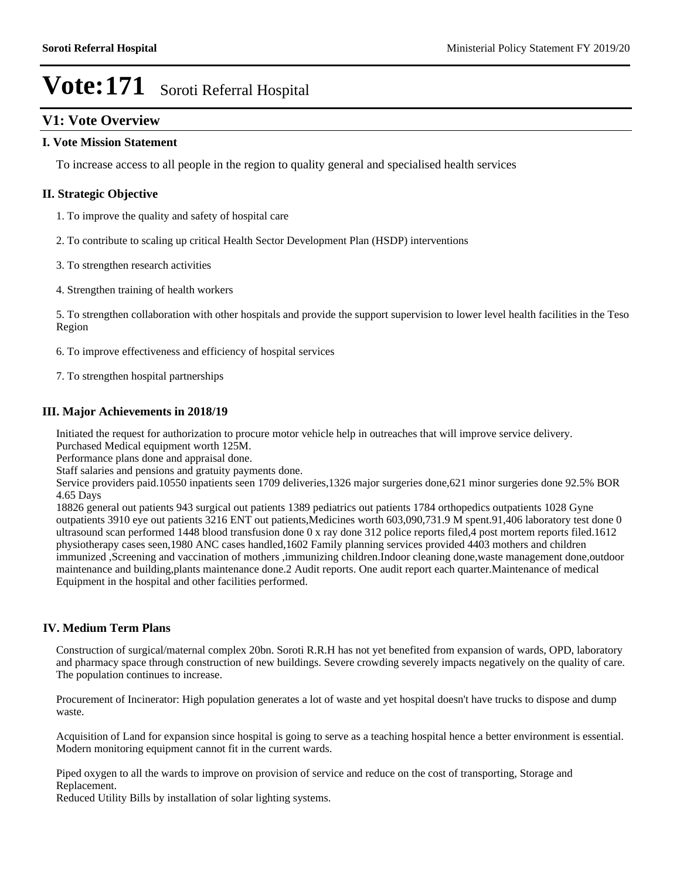## **V1: Vote Overview**

#### **I. Vote Mission Statement**

To increase access to all people in the region to quality general and specialised health services

#### **II. Strategic Objective**

- 1. To improve the quality and safety of hospital care
- 2. To contribute to scaling up critical Health Sector Development Plan (HSDP) interventions
- 3. To strengthen research activities
- 4. Strengthen training of health workers

5. To strengthen collaboration with other hospitals and provide the support supervision to lower level health facilities in the Teso Region

6. To improve effectiveness and efficiency of hospital services

7. To strengthen hospital partnerships

#### **III. Major Achievements in 2018/19**

Initiated the request for authorization to procure motor vehicle help in outreaches that will improve service delivery. Purchased Medical equipment worth 125M.

Performance plans done and appraisal done.

Staff salaries and pensions and gratuity payments done.

Service providers paid.10550 inpatients seen 1709 deliveries,1326 major surgeries done,621 minor surgeries done 92.5% BOR 4.65 Days

18826 general out patients 943 surgical out patients 1389 pediatrics out patients 1784 orthopedics outpatients 1028 Gyne outpatients 3910 eye out patients 3216 ENT out patients,Medicines worth 603,090,731.9 M spent.91,406 laboratory test done 0 ultrasound scan performed 1448 blood transfusion done 0 x ray done 312 police reports filed,4 post mortem reports filed.1612 physiotherapy cases seen,1980 ANC cases handled,1602 Family planning services provided 4403 mothers and children immunized ,Screening and vaccination of mothers ,immunizing children.Indoor cleaning done,waste management done,outdoor maintenance and building,plants maintenance done.2 Audit reports. One audit report each quarter.Maintenance of medical Equipment in the hospital and other facilities performed.

#### **IV. Medium Term Plans**

Construction of surgical/maternal complex 20bn. Soroti R.R.H has not yet benefited from expansion of wards, OPD, laboratory and pharmacy space through construction of new buildings. Severe crowding severely impacts negatively on the quality of care. The population continues to increase.

Procurement of Incinerator: High population generates a lot of waste and yet hospital doesn't have trucks to dispose and dump waste.

Acquisition of Land for expansion since hospital is going to serve as a teaching hospital hence a better environment is essential. Modern monitoring equipment cannot fit in the current wards.

Piped oxygen to all the wards to improve on provision of service and reduce on the cost of transporting, Storage and Replacement.

Reduced Utility Bills by installation of solar lighting systems.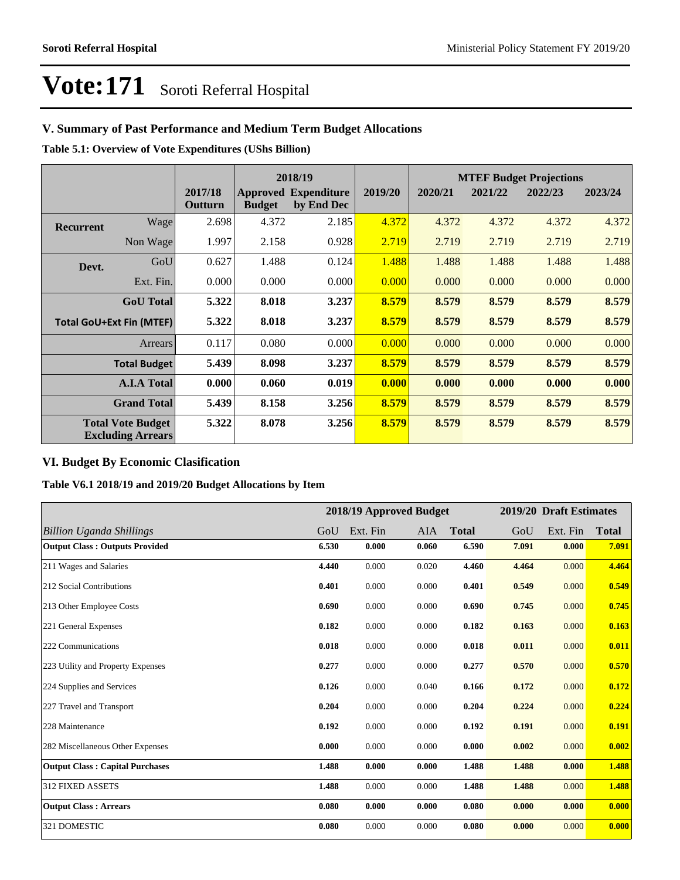# **V. Summary of Past Performance and Medium Term Budget Allocations**

**Table 5.1: Overview of Vote Expenditures (UShs Billion)**

|                  |                                                      |                    |               | 2018/19                                   |         | <b>MTEF Budget Projections</b> |         |         |         |
|------------------|------------------------------------------------------|--------------------|---------------|-------------------------------------------|---------|--------------------------------|---------|---------|---------|
|                  |                                                      | 2017/18<br>Outturn | <b>Budget</b> | <b>Approved Expenditure</b><br>by End Dec | 2019/20 | 2020/21                        | 2021/22 | 2022/23 | 2023/24 |
| <b>Recurrent</b> | Wage                                                 | 2.698              | 4.372         | 2.185                                     | 4.372   | 4.372                          | 4.372   | 4.372   | 4.372   |
|                  | Non Wage                                             | 1.997              | 2.158         | 0.928                                     | 2.719   | 2.719                          | 2.719   | 2.719   | 2.719   |
| Devt.            | GoU                                                  | 0.627              | 1.488         | 0.124                                     | 1.488   | 1.488                          | 1.488   | 1.488   | 1.488   |
|                  | Ext. Fin.                                            | 0.000              | 0.000         | 0.000                                     | 0.000   | 0.000                          | 0.000   | 0.000   | 0.000   |
|                  | <b>GoU</b> Total                                     | 5.322              | 8.018         | 3.237                                     | 8.579   | 8.579                          | 8.579   | 8.579   | 8.579   |
|                  | <b>Total GoU+Ext Fin (MTEF)</b>                      | 5.322              | 8.018         | 3.237                                     | 8.579   | 8.579                          | 8.579   | 8.579   | 8.579   |
|                  | Arrears                                              | 0.117              | 0.080         | 0.000                                     | 0.000   | 0.000                          | 0.000   | 0.000   | 0.000   |
|                  | <b>Total Budget</b>                                  | 5.439              | 8.098         | 3.237                                     | 8.579   | 8.579                          | 8.579   | 8.579   | 8.579   |
|                  | <b>A.I.A Total</b>                                   | 0.000              | 0.060         | 0.019                                     | 0.000   | 0.000                          | 0.000   | 0.000   | 0.000   |
|                  | <b>Grand Total</b>                                   | 5.439              | 8.158         | 3.256                                     | 8.579   | 8.579                          | 8.579   | 8.579   | 8.579   |
|                  | <b>Total Vote Budget</b><br><b>Excluding Arrears</b> | 5.322              | 8.078         | 3.256                                     | 8.579   | 8.579                          | 8.579   | 8.579   | 8.579   |

### **VI. Budget By Economic Clasification**

**Table V6.1 2018/19 and 2019/20 Budget Allocations by Item**

|                                        |       | 2018/19 Approved Budget |       |              |       | 2019/20 Draft Estimates |              |
|----------------------------------------|-------|-------------------------|-------|--------------|-------|-------------------------|--------------|
| Billion Uganda Shillings               | GoU   | Ext. Fin                | AIA   | <b>Total</b> | GoU   | Ext. Fin                | <b>Total</b> |
| <b>Output Class: Outputs Provided</b>  | 6.530 | 0.000                   | 0.060 | 6.590        | 7.091 | 0.000                   | 7.091        |
| 211 Wages and Salaries                 | 4.440 | 0.000                   | 0.020 | 4.460        | 4.464 | 0.000                   | 4.464        |
| 212 Social Contributions               | 0.401 | 0.000                   | 0.000 | 0.401        | 0.549 | 0.000                   | 0.549        |
| 213 Other Employee Costs               | 0.690 | 0.000                   | 0.000 | 0.690        | 0.745 | 0.000                   | 0.745        |
| 221 General Expenses                   | 0.182 | 0.000                   | 0.000 | 0.182        | 0.163 | 0.000                   | 0.163        |
| 222 Communications                     | 0.018 | 0.000                   | 0.000 | 0.018        | 0.011 | 0.000                   | 0.011        |
| 223 Utility and Property Expenses      | 0.277 | 0.000                   | 0.000 | 0.277        | 0.570 | 0.000                   | 0.570        |
| 224 Supplies and Services              | 0.126 | 0.000                   | 0.040 | 0.166        | 0.172 | 0.000                   | 0.172        |
| 227 Travel and Transport               | 0.204 | 0.000                   | 0.000 | 0.204        | 0.224 | 0.000                   | 0.224        |
| 228 Maintenance                        | 0.192 | 0.000                   | 0.000 | 0.192        | 0.191 | 0.000                   | 0.191        |
| 282 Miscellaneous Other Expenses       | 0.000 | 0.000                   | 0.000 | 0.000        | 0.002 | 0.000                   | 0.002        |
| <b>Output Class: Capital Purchases</b> | 1.488 | 0.000                   | 0.000 | 1.488        | 1.488 | 0.000                   | 1.488        |
| <b>312 FIXED ASSETS</b>                | 1.488 | 0.000                   | 0.000 | 1.488        | 1.488 | 0.000                   | 1.488        |
| <b>Output Class: Arrears</b>           | 0.080 | 0.000                   | 0.000 | 0.080        | 0.000 | 0.000                   | 0.000        |
| 321 DOMESTIC                           | 0.080 | 0.000                   | 0.000 | 0.080        | 0.000 | 0.000                   | 0.000        |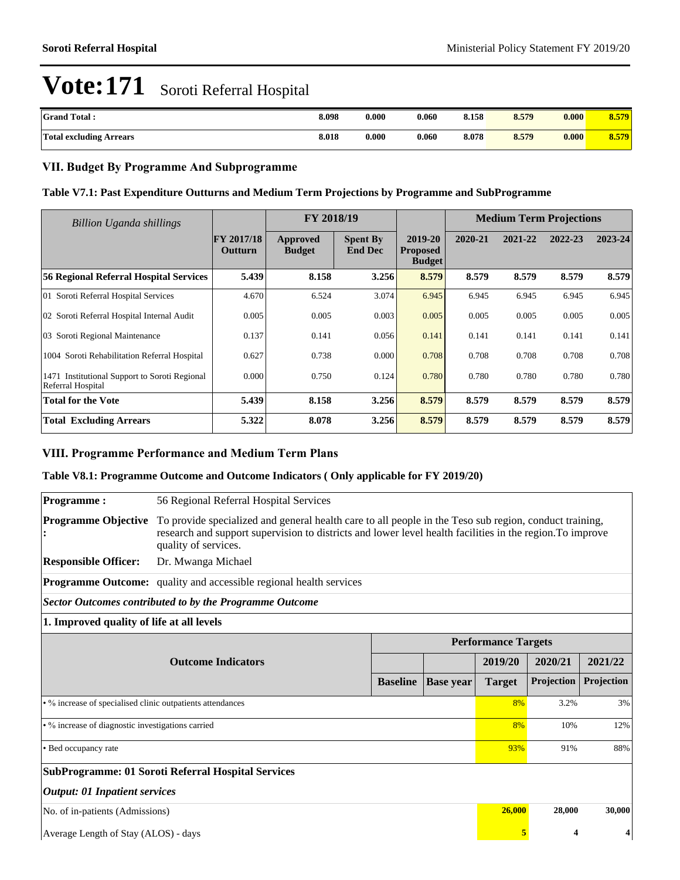| <b>Grand Total:</b>            | 8.098 | 0.000 | 0.060 | 8.158 | 8.579 | 0.000 | 8.579 |
|--------------------------------|-------|-------|-------|-------|-------|-------|-------|
| <b>Total excluding Arrears</b> | 8.018 | 0.000 | 0.060 | 8.078 | 8.579 | 0.000 | 8.579 |

### **VII. Budget By Programme And Subprogramme**

#### **Table V7.1: Past Expenditure Outturns and Medium Term Projections by Programme and SubProgramme**

| <b>Billion Uganda shillings</b>                                    |                                     | FY 2018/19                |                                   |                                             |         | <b>Medium Term Projections</b> |         |         |
|--------------------------------------------------------------------|-------------------------------------|---------------------------|-----------------------------------|---------------------------------------------|---------|--------------------------------|---------|---------|
|                                                                    | <b>FY 2017/18</b><br><b>Outturn</b> | Approved<br><b>Budget</b> | <b>Spent By</b><br><b>End Dec</b> | 2019-20<br><b>Proposed</b><br><b>Budget</b> | 2020-21 | 2021-22                        | 2022-23 | 2023-24 |
| 56 Regional Referral Hospital Services                             | 5.439                               | 8.158                     | 3.256                             | 8.579                                       | 8.579   | 8.579                          | 8.579   | 8.579   |
| 01 Soroti Referral Hospital Services                               | 4.670                               | 6.524                     | 3.074                             | 6.945                                       | 6.945   | 6.945                          | 6.945   | 6.945   |
| 02 Soroti Referral Hospital Internal Audit                         | 0.005                               | 0.005                     | 0.003                             | 0.005                                       | 0.005   | 0.005                          | 0.005   | 0.005   |
| 03 Soroti Regional Maintenance                                     | 0.137                               | 0.141                     | 0.056                             | 0.141                                       | 0.141   | 0.141                          | 0.141   | 0.141   |
| 1004 Soroti Rehabilitation Referral Hospital                       | 0.627                               | 0.738                     | 0.000                             | 0.708                                       | 0.708   | 0.708                          | 0.708   | 0.708   |
| 1471 Institutional Support to Soroti Regional<br>Referral Hospital | 0.000                               | 0.750                     | 0.124                             | 0.780                                       | 0.780   | 0.780                          | 0.780   | 0.780   |
| Total for the Vote                                                 | 5.439                               | 8.158                     | 3.256                             | 8.579                                       | 8.579   | 8.579                          | 8.579   | 8.579   |
| <b>Total Excluding Arrears</b>                                     | 5.322                               | 8.078                     | 3.256                             | 8.579                                       | 8.579   | 8.579                          | 8.579   | 8.579   |

#### **VIII. Programme Performance and Medium Term Plans**

#### **Table V8.1: Programme Outcome and Outcome Indicators ( Only applicable for FY 2019/20)**

| <b>Programme:</b>                                          | 56 Regional Referral Hospital Services                                                                                                                                                                                                      |                 |                  |               |            |            |  |  |  |
|------------------------------------------------------------|---------------------------------------------------------------------------------------------------------------------------------------------------------------------------------------------------------------------------------------------|-----------------|------------------|---------------|------------|------------|--|--|--|
| <b>Programme Objective</b>                                 | To provide specialized and general health care to all people in the Teso sub region, conduct training,<br>research and support supervision to districts and lower level health facilities in the region. To improve<br>quality of services. |                 |                  |               |            |            |  |  |  |
| <b>Responsible Officer:</b>                                | Dr. Mwanga Michael                                                                                                                                                                                                                          |                 |                  |               |            |            |  |  |  |
|                                                            | <b>Programme Outcome:</b> quality and accessible regional health services                                                                                                                                                                   |                 |                  |               |            |            |  |  |  |
|                                                            | <b>Sector Outcomes contributed to by the Programme Outcome</b>                                                                                                                                                                              |                 |                  |               |            |            |  |  |  |
| 1. Improved quality of life at all levels                  |                                                                                                                                                                                                                                             |                 |                  |               |            |            |  |  |  |
|                                                            | <b>Performance Targets</b>                                                                                                                                                                                                                  |                 |                  |               |            |            |  |  |  |
|                                                            | <b>Outcome Indicators</b>                                                                                                                                                                                                                   |                 |                  | 2019/20       | 2020/21    | 2021/22    |  |  |  |
|                                                            |                                                                                                                                                                                                                                             | <b>Baseline</b> | <b>Base year</b> | <b>Target</b> | Projection | Projection |  |  |  |
| • % increase of specialised clinic outpatients attendances |                                                                                                                                                                                                                                             |                 |                  | 8%            | 3.2%       | 3%         |  |  |  |
| • % increase of diagnostic investigations carried          |                                                                                                                                                                                                                                             |                 |                  | 8%            | 10%        | 12%        |  |  |  |
| • Bed occupancy rate                                       |                                                                                                                                                                                                                                             | 93%             | 91%              | 88%           |            |            |  |  |  |
| <b>SubProgramme: 01 Soroti Referral Hospital Services</b>  |                                                                                                                                                                                                                                             |                 |                  |               |            |            |  |  |  |
| <b>Output: 01 Inpatient services</b>                       |                                                                                                                                                                                                                                             |                 |                  |               |            |            |  |  |  |
| No. of in-patients (Admissions)                            | 26,000                                                                                                                                                                                                                                      | 28,000          | 30,000           |               |            |            |  |  |  |
| Average Length of Stay (ALOS) - days                       | 5                                                                                                                                                                                                                                           |                 |                  |               |            |            |  |  |  |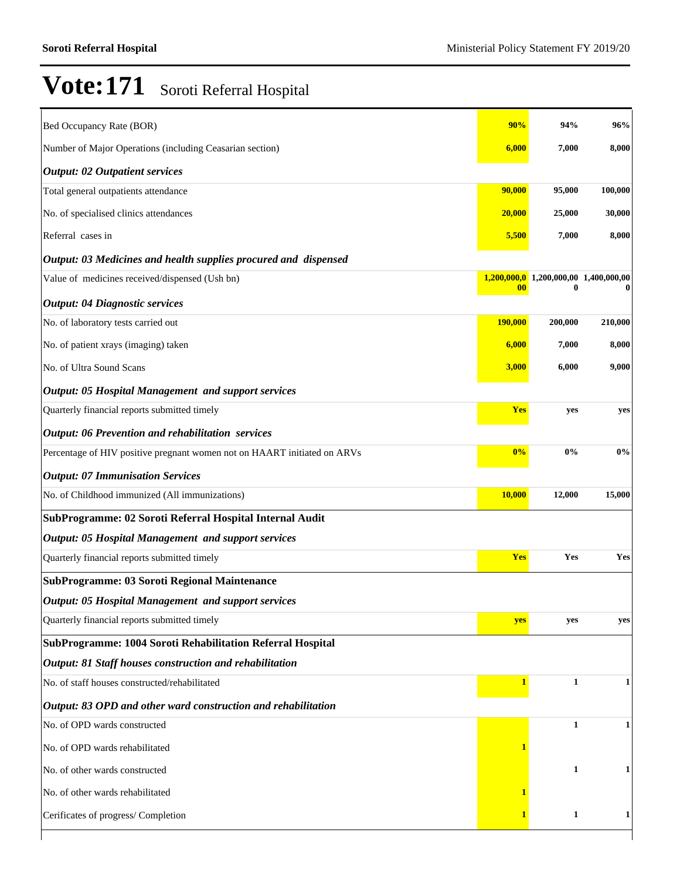| Bed Occupancy Rate (BOR)                                                 | 90%                      | 94%                       | 96%     |  |  |  |  |  |  |
|--------------------------------------------------------------------------|--------------------------|---------------------------|---------|--|--|--|--|--|--|
| Number of Major Operations (including Ceasarian section)                 | 6,000                    | 7,000                     | 8,000   |  |  |  |  |  |  |
| <b>Output: 02 Outpatient services</b>                                    |                          |                           |         |  |  |  |  |  |  |
| Total general outpatients attendance                                     | 90,000                   | 95,000                    | 100,000 |  |  |  |  |  |  |
| No. of specialised clinics attendances                                   | 20,000                   | 25,000                    | 30,000  |  |  |  |  |  |  |
| Referral cases in                                                        | 5,500                    | 7,000                     | 8,000   |  |  |  |  |  |  |
| Output: 03 Medicines and health supplies procured and dispensed          |                          |                           |         |  |  |  |  |  |  |
| Value of medicines received/dispensed (Ush bn)                           | 1,200,000,0<br>$\bf{00}$ | 1,200,000,00 1,400,000,00 |         |  |  |  |  |  |  |
| <b>Output: 04 Diagnostic services</b>                                    |                          |                           |         |  |  |  |  |  |  |
| No. of laboratory tests carried out                                      | 190,000                  | 200,000                   | 210,000 |  |  |  |  |  |  |
| No. of patient xrays (imaging) taken                                     | 6,000                    | 7,000                     | 8,000   |  |  |  |  |  |  |
| No. of Ultra Sound Scans                                                 | 3,000                    | 6,000                     | 9,000   |  |  |  |  |  |  |
| <b>Output: 05 Hospital Management and support services</b>               |                          |                           |         |  |  |  |  |  |  |
| Quarterly financial reports submitted timely                             | <b>Yes</b>               | yes                       | yes     |  |  |  |  |  |  |
| <b>Output: 06 Prevention and rehabilitation services</b>                 |                          |                           |         |  |  |  |  |  |  |
| Percentage of HIV positive pregnant women not on HAART initiated on ARVs | 0%                       | 0%                        | $0\%$   |  |  |  |  |  |  |
| <b>Output: 07 Immunisation Services</b>                                  |                          |                           |         |  |  |  |  |  |  |
| No. of Childhood immunized (All immunizations)                           | <b>10,000</b>            | 12,000                    | 15,000  |  |  |  |  |  |  |
| SubProgramme: 02 Soroti Referral Hospital Internal Audit                 |                          |                           |         |  |  |  |  |  |  |
| <b>Output: 05 Hospital Management and support services</b>               |                          |                           |         |  |  |  |  |  |  |
| Quarterly financial reports submitted timely                             | Yes                      | Yes                       | Yes     |  |  |  |  |  |  |
| <b>SubProgramme: 03 Soroti Regional Maintenance</b>                      |                          |                           |         |  |  |  |  |  |  |
| <b>Output: 05 Hospital Management and support services</b>               |                          |                           |         |  |  |  |  |  |  |
| Quarterly financial reports submitted timely                             | yes                      | yes                       | yes     |  |  |  |  |  |  |
| SubProgramme: 1004 Soroti Rehabilitation Referral Hospital               |                          |                           |         |  |  |  |  |  |  |
| Output: 81 Staff houses construction and rehabilitation                  |                          |                           |         |  |  |  |  |  |  |
| No. of staff houses constructed/rehabilitated                            | $\mathbf{1}$             | $\mathbf{1}$              | 1       |  |  |  |  |  |  |
| Output: 83 OPD and other ward construction and rehabilitation            |                          |                           |         |  |  |  |  |  |  |
| No. of OPD wards constructed                                             |                          | $\mathbf{1}$              | 1       |  |  |  |  |  |  |
| No. of OPD wards rehabilitated                                           |                          |                           |         |  |  |  |  |  |  |
| No. of other wards constructed                                           |                          | 1                         | 1       |  |  |  |  |  |  |
| No. of other wards rehabilitated                                         |                          |                           |         |  |  |  |  |  |  |
| Cerificates of progress/ Completion                                      |                          | $\mathbf{1}$              | 1       |  |  |  |  |  |  |
|                                                                          |                          |                           |         |  |  |  |  |  |  |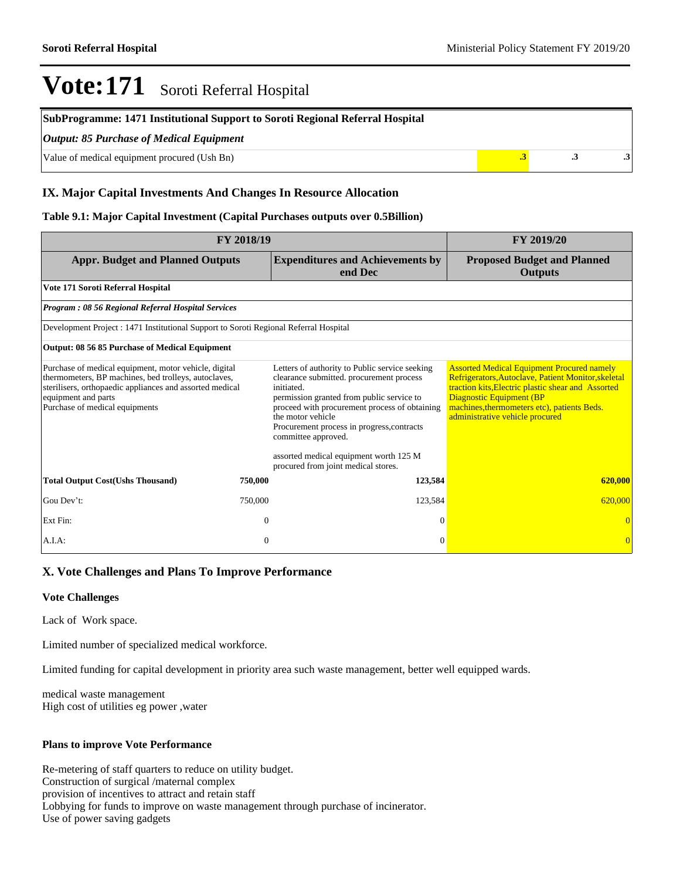| SubProgramme: 1471 Institutional Support to Soroti Regional Referral Hospital |  |  |  |  |  |
|-------------------------------------------------------------------------------|--|--|--|--|--|
| $\vert$ Output: 85 Purchase of Medical Equipment                              |  |  |  |  |  |
| Value of medical equipment procured (Ush Bn)                                  |  |  |  |  |  |

### **IX. Major Capital Investments And Changes In Resource Allocation**

#### **Table 9.1: Major Capital Investment (Capital Purchases outputs over 0.5Billion)**

| <b>FY 2018/19</b>                                                                                                                                                                                                                  | <b>FY 2019/20</b> |                                                                                                                                                                                                                                                                                                                                                                                   |                                                                                                                                                                                                                                                                                     |
|------------------------------------------------------------------------------------------------------------------------------------------------------------------------------------------------------------------------------------|-------------------|-----------------------------------------------------------------------------------------------------------------------------------------------------------------------------------------------------------------------------------------------------------------------------------------------------------------------------------------------------------------------------------|-------------------------------------------------------------------------------------------------------------------------------------------------------------------------------------------------------------------------------------------------------------------------------------|
| <b>Appr. Budget and Planned Outputs</b>                                                                                                                                                                                            |                   | <b>Expenditures and Achievements by</b><br>end Dec                                                                                                                                                                                                                                                                                                                                | <b>Proposed Budget and Planned</b><br><b>Outputs</b>                                                                                                                                                                                                                                |
| Vote 171 Soroti Referral Hospital                                                                                                                                                                                                  |                   |                                                                                                                                                                                                                                                                                                                                                                                   |                                                                                                                                                                                                                                                                                     |
| <b>Program: 08 56 Regional Referral Hospital Services</b>                                                                                                                                                                          |                   |                                                                                                                                                                                                                                                                                                                                                                                   |                                                                                                                                                                                                                                                                                     |
| Development Project : 1471 Institutional Support to Soroti Regional Referral Hospital                                                                                                                                              |                   |                                                                                                                                                                                                                                                                                                                                                                                   |                                                                                                                                                                                                                                                                                     |
| Output: 08 56 85 Purchase of Medical Equipment                                                                                                                                                                                     |                   |                                                                                                                                                                                                                                                                                                                                                                                   |                                                                                                                                                                                                                                                                                     |
| Purchase of medical equipment, motor vehicle, digital<br>thermometers, BP machines, bed trolleys, autoclaves,<br>sterilisers, orthopaedic appliances and assorted medical<br>equipment and parts<br>Purchase of medical equipments |                   | Letters of authority to Public service seeking<br>clearance submitted. procurement process<br>initiated.<br>permission granted from public service to<br>proceed with procurement process of obtaining<br>the motor vehicle<br>Procurement process in progress, contracts<br>committee approved.<br>assorted medical equipment worth 125 M<br>procured from joint medical stores. | <b>Assorted Medical Equipment Procured namely</b><br>Refrigerators, Autoclave, Patient Monitor, skeletal<br>traction kits, Electric plastic shear and Assorted<br><b>Diagnostic Equipment (BP</b><br>machines, thermometers etc), patients Beds.<br>administrative vehicle procured |
| <b>Total Output Cost(Ushs Thousand)</b>                                                                                                                                                                                            | 750,000           | 123,584                                                                                                                                                                                                                                                                                                                                                                           | 620,000                                                                                                                                                                                                                                                                             |
| Gou Dev't:                                                                                                                                                                                                                         | 750,000           | 123,584                                                                                                                                                                                                                                                                                                                                                                           | 620,000                                                                                                                                                                                                                                                                             |
| Ext Fin:                                                                                                                                                                                                                           | $\mathbf{0}$      | $\theta$                                                                                                                                                                                                                                                                                                                                                                          |                                                                                                                                                                                                                                                                                     |
| A.I.A:                                                                                                                                                                                                                             | $\Omega$          | $\Omega$                                                                                                                                                                                                                                                                                                                                                                          | $\vert 0 \vert$                                                                                                                                                                                                                                                                     |

#### **X. Vote Challenges and Plans To Improve Performance**

#### **Vote Challenges**

Lack of Work space.

Limited number of specialized medical workforce.

Limited funding for capital development in priority area such waste management, better well equipped wards.

medical waste management High cost of utilities eg power ,water

#### **Plans to improve Vote Performance**

Re-metering of staff quarters to reduce on utility budget. Construction of surgical /maternal complex provision of incentives to attract and retain staff Lobbying for funds to improve on waste management through purchase of incinerator. Use of power saving gadgets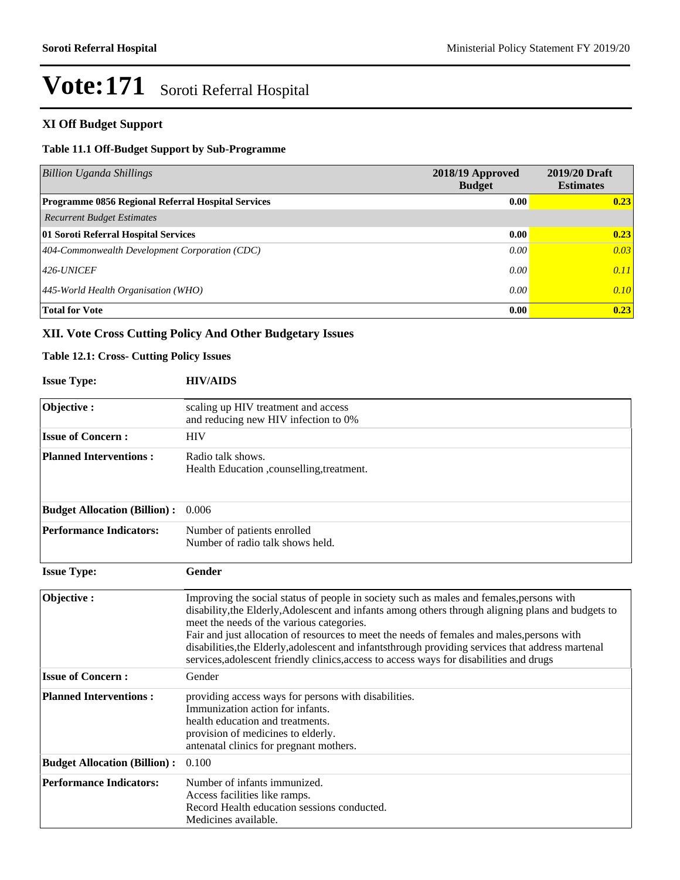# **XI Off Budget Support**

## **Table 11.1 Off-Budget Support by Sub-Programme**

| <b>Billion Uganda Shillings</b>                           | 2018/19 Approved<br><b>Budget</b> | 2019/20 Draft<br><b>Estimates</b> |
|-----------------------------------------------------------|-----------------------------------|-----------------------------------|
| <b>Programme 0856 Regional Referral Hospital Services</b> | 0.00                              | 0.23                              |
| <b>Recurrent Budget Estimates</b>                         |                                   |                                   |
| 01 Soroti Referral Hospital Services                      | 0.00                              | 0.23                              |
| 404-Commonwealth Development Corporation (CDC)            | 0.00                              | 0.03                              |
| $426$ -UNICEF                                             | 0.00                              | 0.11                              |
| $ 445$ -World Health Organisation (WHO)                   | 0.00                              | 0.10                              |
| <b>Total for Vote</b>                                     | 0.00                              | 0.23                              |

# **XII. Vote Cross Cutting Policy And Other Budgetary Issues**

#### **Table 12.1: Cross- Cutting Policy Issues**

| <b>Issue Type:</b>                  | <b>HIV/AIDS</b>                                                                                                                                                                                                                                                                                                                                                                                                                                                                                                                            |
|-------------------------------------|--------------------------------------------------------------------------------------------------------------------------------------------------------------------------------------------------------------------------------------------------------------------------------------------------------------------------------------------------------------------------------------------------------------------------------------------------------------------------------------------------------------------------------------------|
| Objective:                          | scaling up HIV treatment and access<br>and reducing new HIV infection to 0%                                                                                                                                                                                                                                                                                                                                                                                                                                                                |
| <b>Issue of Concern:</b>            | <b>HIV</b>                                                                                                                                                                                                                                                                                                                                                                                                                                                                                                                                 |
| <b>Planned Interventions:</b>       | Radio talk shows.<br>Health Education , counselling, treatment.                                                                                                                                                                                                                                                                                                                                                                                                                                                                            |
| <b>Budget Allocation (Billion):</b> | 0.006                                                                                                                                                                                                                                                                                                                                                                                                                                                                                                                                      |
| <b>Performance Indicators:</b>      | Number of patients enrolled<br>Number of radio talk shows held.                                                                                                                                                                                                                                                                                                                                                                                                                                                                            |
| <b>Issue Type:</b>                  | Gender                                                                                                                                                                                                                                                                                                                                                                                                                                                                                                                                     |
| Objective:                          | Improving the social status of people in society such as males and females, persons with<br>disability, the Elderly, Adolescent and infants among others through aligning plans and budgets to<br>meet the needs of the various categories.<br>Fair and just allocation of resources to meet the needs of females and males, persons with<br>disabilities, the Elderly, adolescent and infants through providing services that address martenal<br>services, adolescent friendly clinics, access to access ways for disabilities and drugs |
| <b>Issue of Concern:</b>            | Gender                                                                                                                                                                                                                                                                                                                                                                                                                                                                                                                                     |
| <b>Planned Interventions:</b>       | providing access ways for persons with disabilities.<br>Immunization action for infants.<br>health education and treatments.<br>provision of medicines to elderly.<br>antenatal clinics for pregnant mothers.                                                                                                                                                                                                                                                                                                                              |
| <b>Budget Allocation (Billion):</b> | 0.100                                                                                                                                                                                                                                                                                                                                                                                                                                                                                                                                      |
| <b>Performance Indicators:</b>      | Number of infants immunized.<br>Access facilities like ramps.<br>Record Health education sessions conducted.<br>Medicines available.                                                                                                                                                                                                                                                                                                                                                                                                       |